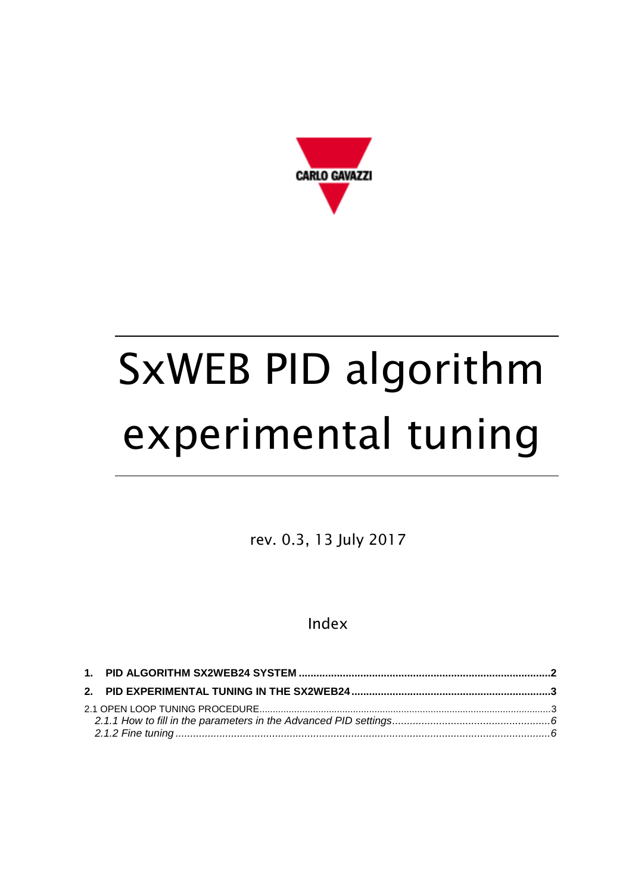

# SxWEB PID algorithm experimental tuning

rev. 0.3, 13 July 2017

## Index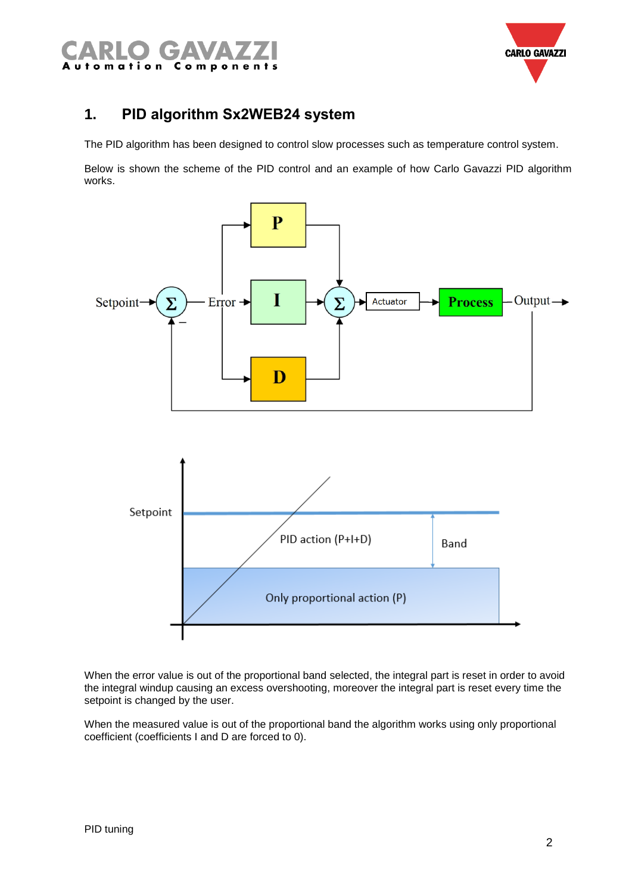



## <span id="page-1-0"></span>**1. PID algorithm Sx2WEB24 system**

The PID algorithm has been designed to control slow processes such as temperature control system.

Below is shown the scheme of the PID control and an example of how Carlo Gavazzi PID algorithm works.



When the error value is out of the proportional band selected, the integral part is reset in order to avoid the integral windup causing an excess overshooting, moreover the integral part is reset every time the setpoint is changed by the user.

When the measured value is out of the proportional band the algorithm works using only proportional coefficient (coefficients I and D are forced to 0).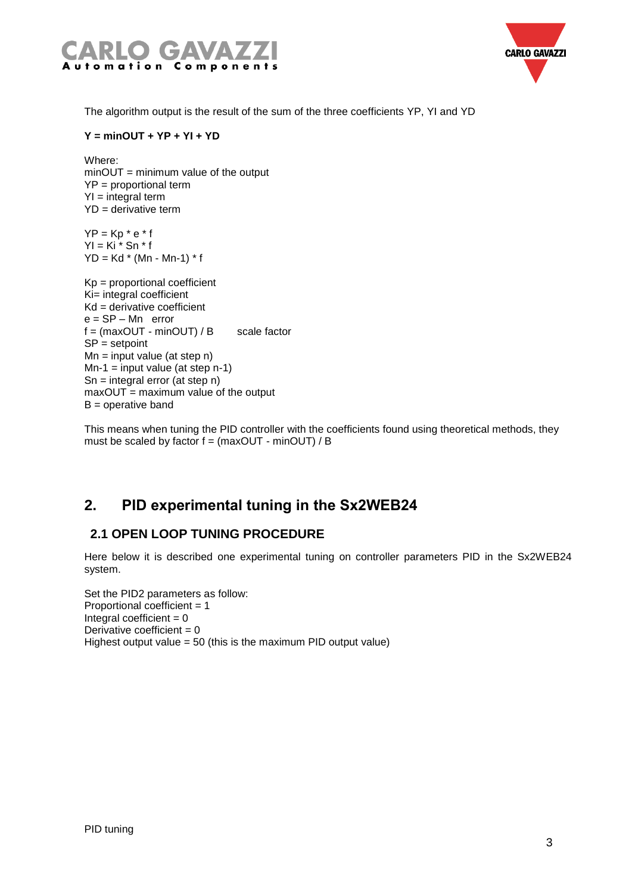



The algorithm output is the result of the sum of the three coefficients YP, YI and YD

#### **Y = minOUT + YP + YI + YD**

Where: minOUT = minimum value of the output YP = proportional term  $YI = integral term$ YD = derivative term

 $YP = Kp * e * f$  $YI = Ki * Sn * f$  $YD = Kd * (Mn - Mn-1) * f$ 

```
Kp = proportional coefficient
Ki= integral coefficient
Kd = derivative coefficient
e = SP – Mn error
f = (maxOUT - minOUT) / B scale factor
SP = setpoint
Mn = input value (at step n)Mn-1 = input value (at step n-1)
Sn = integral error (at step n)
maxOUT = maximum value of the output
B = operative band
```
This means when tuning the PID controller with the coefficients found using theoretical methods, they must be scaled by factor f = (maxOUT - minOUT) / B

## <span id="page-2-0"></span>**2. PID experimental tuning in the Sx2WEB24**

### <span id="page-2-1"></span>**2.1 OPEN LOOP TUNING PROCEDURE**

Here below it is described one experimental tuning on controller parameters PID in the Sx2WEB24 system.

Set the PID2 parameters as follow: Proportional coefficient = 1 Integral coefficient  $= 0$ Derivative coefficient  $= 0$ Highest output value = 50 (this is the maximum PID output value)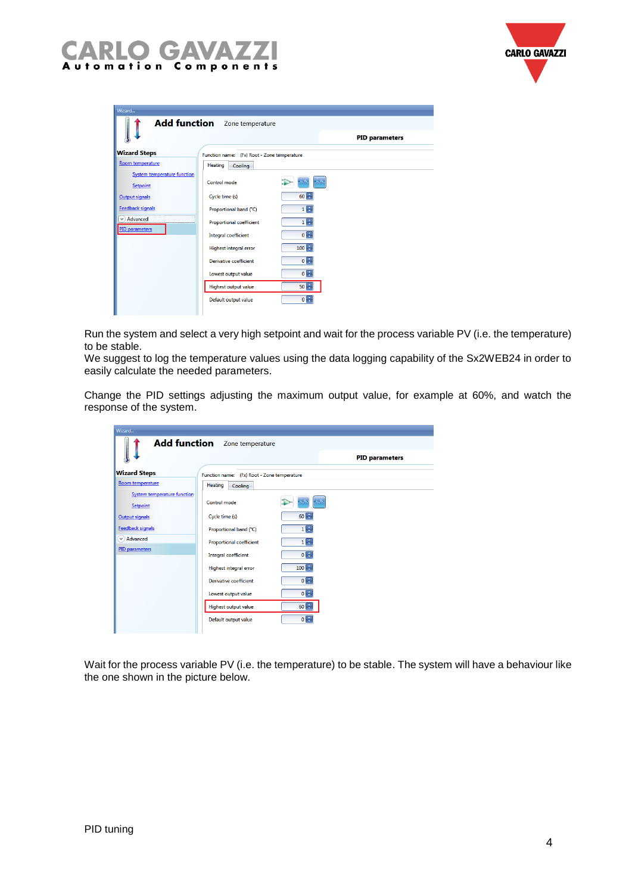



| Wizard<br><b>Add function</b> Zone temperature |                                             |                       |  |  |  |  |  |  |
|------------------------------------------------|---------------------------------------------|-----------------------|--|--|--|--|--|--|
|                                                |                                             | <b>PID parameters</b> |  |  |  |  |  |  |
| <b>Wizard Steps</b>                            | Function name: (Fx) Root - Zone temperature |                       |  |  |  |  |  |  |
| Room temperature                               | Heating<br>Cooling                          |                       |  |  |  |  |  |  |
| <b>System temperature function</b><br>Setpoint | Control mode                                |                       |  |  |  |  |  |  |
| Output signals                                 | Cycle time (s)                              | $60 -$                |  |  |  |  |  |  |
| <b>Feedback signals</b>                        | Proportional band (°C)                      | $1 -$                 |  |  |  |  |  |  |
| $\vee$ ) Advanced                              | <b>Proportional coefficient</b>             | $1 -$                 |  |  |  |  |  |  |
| PID parameters                                 | Integral coefficient                        | $0 -$                 |  |  |  |  |  |  |
|                                                | <b>Highest integral error</b>               | $100 +$               |  |  |  |  |  |  |
|                                                | Derivative coefficient                      | $0 -$                 |  |  |  |  |  |  |
|                                                | Lowest output value                         | $0 -$                 |  |  |  |  |  |  |
|                                                | <b>Highest output value</b>                 | $50 -$                |  |  |  |  |  |  |
|                                                | Default output value                        | $0 -$                 |  |  |  |  |  |  |
|                                                |                                             |                       |  |  |  |  |  |  |

Run the system and select a very high setpoint and wait for the process variable PV (i.e. the temperature) to be stable.

We suggest to log the temperature values using the data logging capability of the Sx2WEB24 in order to easily calculate the needed parameters.

Change the PID settings adjusting the maximum output value, for example at 60%, and watch the response of the system.

| Wizard                                                |                                      |                              |  |  |  |  |  |  |  |
|-------------------------------------------------------|--------------------------------------|------------------------------|--|--|--|--|--|--|--|
|                                                       | <b>Add function</b> Zone temperature |                              |  |  |  |  |  |  |  |
|                                                       |                                      | <b>PID</b> parameters        |  |  |  |  |  |  |  |
| <b>Wizard Steps</b>                                   | <b>Function name:</b>                | (Fx) Root - Zone temperature |  |  |  |  |  |  |  |
| Room temperature                                      | Heating<br>Cooling                   |                              |  |  |  |  |  |  |  |
| <b>System temperature function</b><br><b>Setpoint</b> | Control mode                         |                              |  |  |  |  |  |  |  |
| Output signals                                        | Cycle time (s)                       | $60$ $\rightarrow$           |  |  |  |  |  |  |  |
| Feedback signals                                      | Proportional band (°C)               | $1 -$                        |  |  |  |  |  |  |  |
| $\vee$ Advanced                                       | <b>Proportional coefficient</b>      | $1 -$                        |  |  |  |  |  |  |  |
| <b>PID</b> parameters                                 | Integral coefficient                 | $0 -$                        |  |  |  |  |  |  |  |
|                                                       | Highest integral error               | $100$ $\Box$                 |  |  |  |  |  |  |  |
|                                                       | Derivative coefficient               | $0 -$                        |  |  |  |  |  |  |  |
|                                                       | Lowest output value                  | $0 -$                        |  |  |  |  |  |  |  |
|                                                       | Highest output value                 | 60日                          |  |  |  |  |  |  |  |
|                                                       | Default output value                 | $0 -$                        |  |  |  |  |  |  |  |
|                                                       |                                      |                              |  |  |  |  |  |  |  |

Wait for the process variable PV (i.e. the temperature) to be stable. The system will have a behaviour like the one shown in the picture below.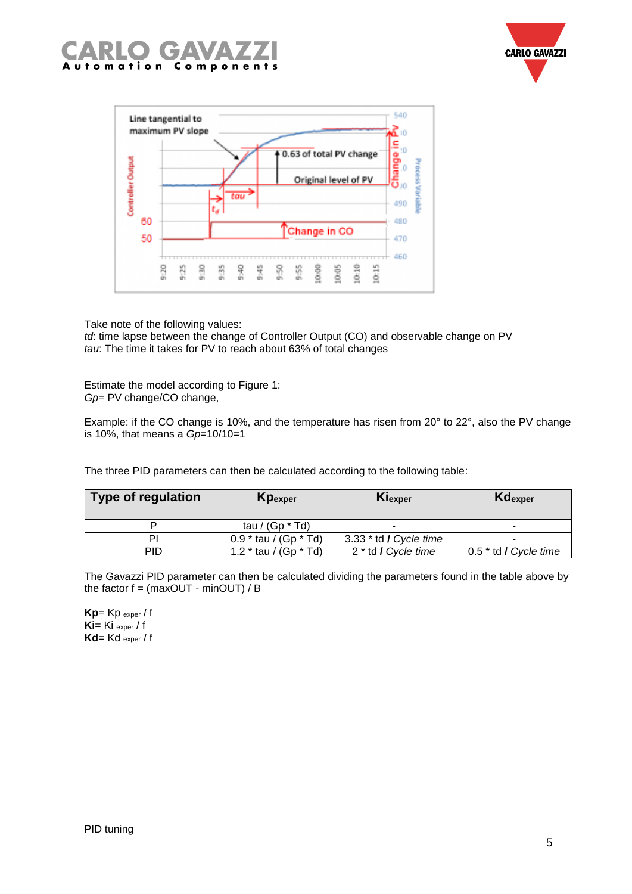





Take note of the following values:

*td*: time lapse between the change of Controller Output (CO) and observable change on PV *tau*: The time it takes for PV to reach about 63% of total changes

Estimate the model according to Figure 1: *Gp*= PV change/CO change,

Example: if the CO change is 10%, and the temperature has risen from 20° to 22°, also the PV change is 10%, that means a *Gp*=10/10=1

The three PID parameters can then be calculated according to the following table:

| <b>Type of regulation</b> | Kpexper                                      | Kiexper                        | Kdexper                 |
|---------------------------|----------------------------------------------|--------------------------------|-------------------------|
|                           | tau / (Gp $*$ Td)                            | -                              |                         |
| Ρľ                        | $0.9 * \text{tau} / (\text{Gp} * \text{Td})$ | 3.33 * td / Cycle time         |                         |
| <b>PID</b>                | 1.2 $*$ tau / (Gp $*$ Td)                    | 2 <sup>*</sup> td / Cycle time | $0.5 *$ td / Cycle time |

The Gavazzi PID parameter can then be calculated dividing the parameters found in the table above by the factor  $f = (maxOUT - minOUT) / B$ 

**Kp**= Kp exper / f **Ki**= Ki exper / f **Kd**= Kd exper / f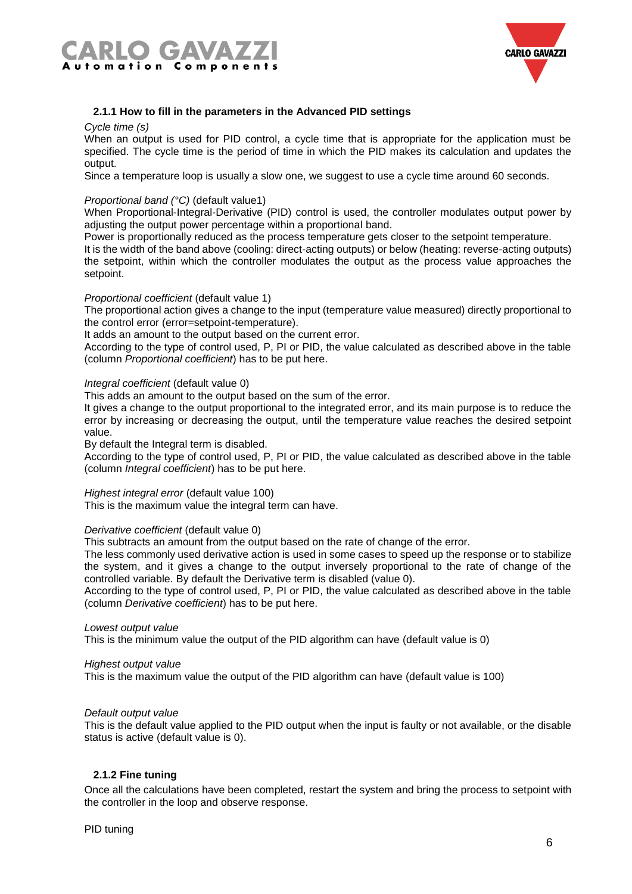



#### <span id="page-5-0"></span>**2.1.1 How to fill in the parameters in the Advanced PID settings**

#### *Cycle time (s)*

When an output is used for PID control, a cycle time that is appropriate for the application must be specified. The cycle time is the period of time in which the PID makes its calculation and updates the output.

Since a temperature loop is usually a slow one, we suggest to use a cycle time around 60 seconds.

#### *Proportional band (°C)* (default value1)

When Proportional-Integral-Derivative (PID) control is used, the controller modulates output power by adjusting the output power percentage within a proportional band.

Power is proportionally reduced as the process temperature gets closer to the setpoint temperature.

It is the width of the band above (cooling: direct-acting outputs) or below (heating: reverse-acting outputs) the setpoint, within which the controller modulates the output as the process value approaches the setpoint.

#### *Proportional coefficient* (default value 1)

The proportional action gives a change to the input (temperature value measured) directly proportional to the control error (error=setpoint-temperature).

It adds an amount to the output based on the current error.

According to the type of control used, P, PI or PID, the value calculated as described above in the table (column *Proportional coefficient*) has to be put here.

#### *Integral coefficient* (default value 0)

This adds an amount to the output based on the sum of the error.

It gives a change to the output proportional to the integrated error, and its main purpose is to reduce the error by increasing or decreasing the output, until the temperature value reaches the desired setpoint value.

By default the Integral term is disabled.

According to the type of control used, P, PI or PID, the value calculated as described above in the table (column *Integral coefficient*) has to be put here.

#### *Highest integral error* (default value 100)

This is the maximum value the integral term can have.

#### *Derivative coefficient* (default value 0)

This subtracts an amount from the output based on the rate of change of the error.

The less commonly used derivative action is used in some cases to speed up the response or to stabilize the system, and it gives a change to the output inversely proportional to the rate of change of the controlled variable. By default the Derivative term is disabled (value 0).

According to the type of control used, P, PI or PID, the value calculated as described above in the table (column *Derivative coefficient*) has to be put here.

#### *Lowest output value*

This is the minimum value the output of the PID algorithm can have (default value is 0)

#### *Highest output value*

This is the maximum value the output of the PID algorithm can have (default value is 100)

#### *Default output value*

This is the default value applied to the PID output when the input is faulty or not available, or the disable status is active (default value is 0).

#### <span id="page-5-1"></span>**2.1.2 Fine tuning**

Once all the calculations have been completed, restart the system and bring the process to setpoint with the controller in the loop and observe response.